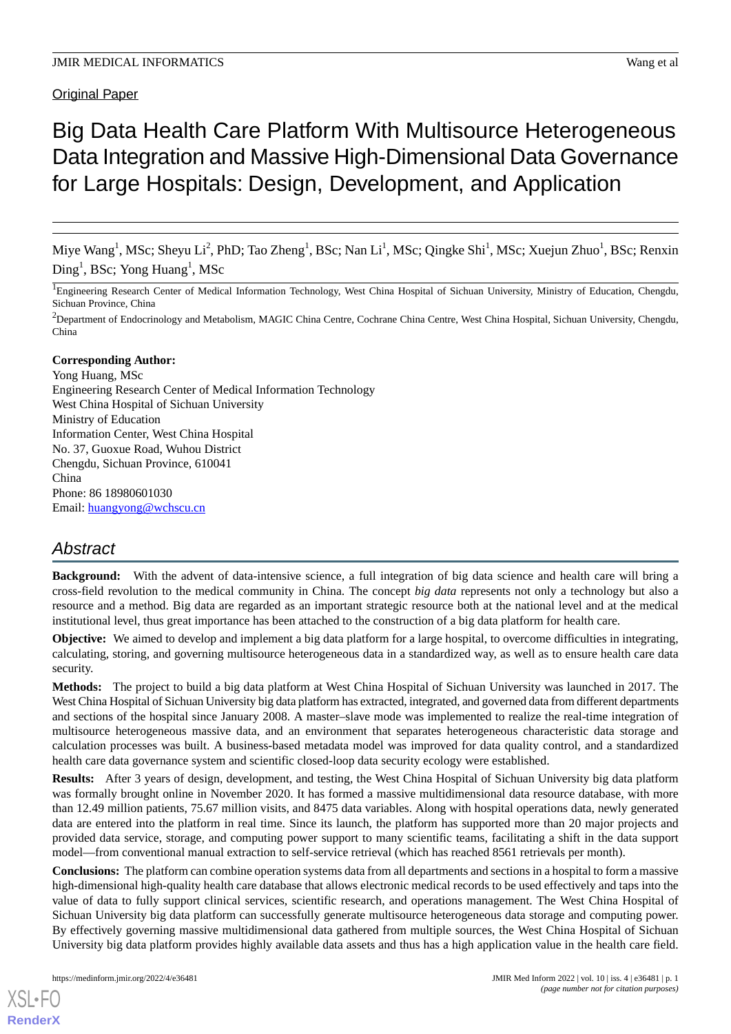# **Original Paper**

# Big Data Health Care Platform With Multisource Heterogeneous Data Integration and Massive High-Dimensional Data Governance for Large Hospitals: Design, Development, and Application

Miye Wang<sup>1</sup>, MSc; Sheyu Li<sup>2</sup>, PhD; Tao Zheng<sup>1</sup>, BSc; Nan Li<sup>1</sup>, MSc; Qingke Shi<sup>1</sup>, MSc; Xuejun Zhuo<sup>1</sup>, BSc; Renxin  $\text{Ding}^1$ , BSc; Yong Huang<sup>1</sup>, MSc

<sup>1</sup>Engineering Research Center of Medical Information Technology, West China Hospital of Sichuan University, Ministry of Education, Chengdu, Sichuan Province, China

<sup>2</sup>Department of Endocrinology and Metabolism, MAGIC China Centre, Cochrane China Centre, West China Hospital, Sichuan University, Chengdu, China

#### **Corresponding Author:**

Yong Huang, MSc Engineering Research Center of Medical Information Technology West China Hospital of Sichuan University Ministry of Education Information Center, West China Hospital No. 37, Guoxue Road, Wuhou District Chengdu, Sichuan Province, 610041 China Phone: 86 18980601030 Email: [huangyong@wchscu.cn](mailto:huangyong@wchscu.cn)

# *Abstract*

**Background:** With the advent of data-intensive science, a full integration of big data science and health care will bring a cross-field revolution to the medical community in China. The concept *big data* represents not only a technology but also a resource and a method. Big data are regarded as an important strategic resource both at the national level and at the medical institutional level, thus great importance has been attached to the construction of a big data platform for health care.

**Objective:** We aimed to develop and implement a big data platform for a large hospital, to overcome difficulties in integrating, calculating, storing, and governing multisource heterogeneous data in a standardized way, as well as to ensure health care data security.

**Methods:** The project to build a big data platform at West China Hospital of Sichuan University was launched in 2017. The West China Hospital of Sichuan University big data platform has extracted, integrated, and governed data from different departments and sections of the hospital since January 2008. A master–slave mode was implemented to realize the real-time integration of multisource heterogeneous massive data, and an environment that separates heterogeneous characteristic data storage and calculation processes was built. A business-based metadata model was improved for data quality control, and a standardized health care data governance system and scientific closed-loop data security ecology were established.

**Results:** After 3 years of design, development, and testing, the West China Hospital of Sichuan University big data platform was formally brought online in November 2020. It has formed a massive multidimensional data resource database, with more than 12.49 million patients, 75.67 million visits, and 8475 data variables. Along with hospital operations data, newly generated data are entered into the platform in real time. Since its launch, the platform has supported more than 20 major projects and provided data service, storage, and computing power support to many scientific teams, facilitating a shift in the data support model—from conventional manual extraction to self-service retrieval (which has reached 8561 retrievals per month).

**Conclusions:** The platform can combine operation systems data from all departments and sections in a hospital to form a massive high-dimensional high-quality health care database that allows electronic medical records to be used effectively and taps into the value of data to fully support clinical services, scientific research, and operations management. The West China Hospital of Sichuan University big data platform can successfully generate multisource heterogeneous data storage and computing power. By effectively governing massive multidimensional data gathered from multiple sources, the West China Hospital of Sichuan University big data platform provides highly available data assets and thus has a high application value in the health care field.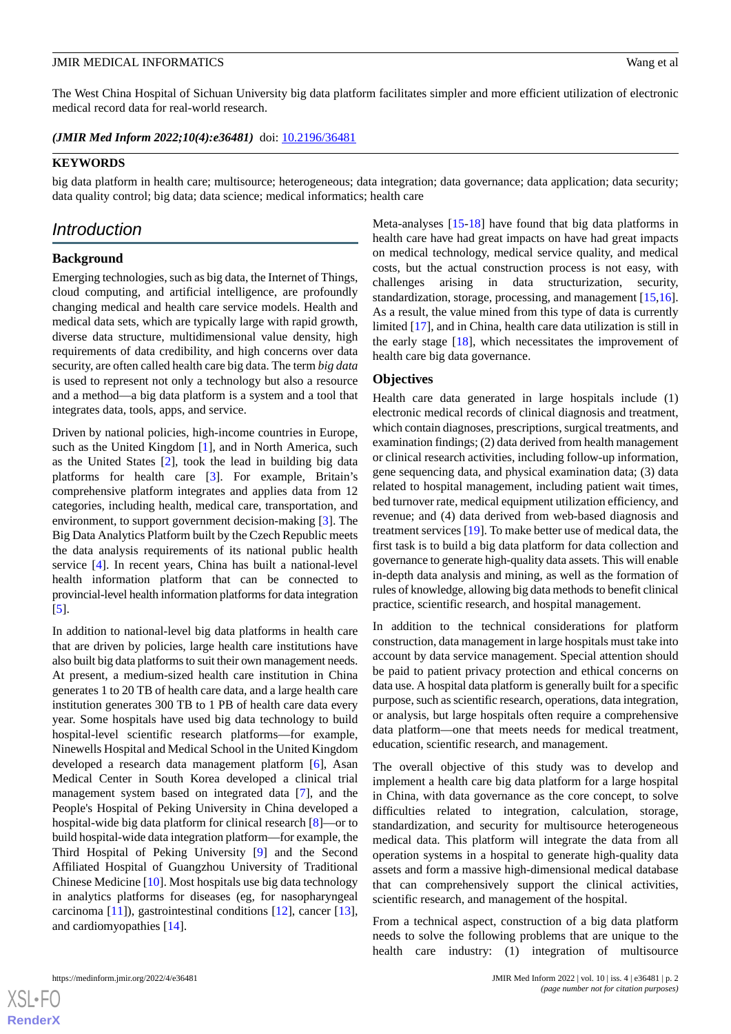The West China Hospital of Sichuan University big data platform facilitates simpler and more efficient utilization of electronic medical record data for real-world research.

(JMIR Med Inform 2022;10(4):e36481) doi: [10.2196/36481](http://dx.doi.org/10.2196/36481)

#### **KEYWORDS**

big data platform in health care; multisource; heterogeneous; data integration; data governance; data application; data security; data quality control; big data; data science; medical informatics; health care

# *Introduction*

#### **Background**

Emerging technologies, such as big data, the Internet of Things, cloud computing, and artificial intelligence, are profoundly changing medical and health care service models. Health and medical data sets, which are typically large with rapid growth, diverse data structure, multidimensional value density, high requirements of data credibility, and high concerns over data security, are often called health care big data. The term *big data* is used to represent not only a technology but also a resource and a method—a big data platform is a system and a tool that integrates data, tools, apps, and service.

Driven by national policies, high-income countries in Europe, such as the United Kingdom [[1\]](#page-12-0), and in North America, such as the United States [\[2](#page-12-1)], took the lead in building big data platforms for health care [[3\]](#page-12-2). For example, Britain's comprehensive platform integrates and applies data from 12 categories, including health, medical care, transportation, and environment, to support government decision-making [[3\]](#page-12-2). The Big Data Analytics Platform built by the Czech Republic meets the data analysis requirements of its national public health service [\[4](#page-12-3)]. In recent years, China has built a national-level health information platform that can be connected to provincial-level health information platforms for data integration [[5\]](#page-12-4).

In addition to national-level big data platforms in health care that are driven by policies, large health care institutions have also built big data platforms to suit their own management needs. At present, a medium-sized health care institution in China generates 1 to 20 TB of health care data, and a large health care institution generates 300 TB to 1 PB of health care data every year. Some hospitals have used big data technology to build hospital-level scientific research platforms—for example, Ninewells Hospital and Medical School in the United Kingdom developed a research data management platform [\[6](#page-12-5)], Asan Medical Center in South Korea developed a clinical trial management system based on integrated data [\[7](#page-13-0)], and the People's Hospital of Peking University in China developed a hospital-wide big data platform for clinical research [[8\]](#page-13-1)—or to build hospital-wide data integration platform—for example, the Third Hospital of Peking University [[9](#page-13-2)] and the Second Affiliated Hospital of Guangzhou University of Traditional Chinese Medicine [[10](#page-13-3)]. Most hospitals use big data technology in analytics platforms for diseases (eg, for nasopharyngeal carcinoma [\[11](#page-13-4)]), gastrointestinal conditions [[12\]](#page-13-5), cancer [[13\]](#page-13-6), and cardiomyopathies [\[14](#page-13-7)].

Meta-analyses [\[15](#page-13-8)-[18\]](#page-13-9) have found that big data platforms in health care have had great impacts on have had great impacts on medical technology, medical service quality, and medical costs, but the actual construction process is not easy, with challenges arising in data structurization, security, standardization, storage, processing, and management [\[15](#page-13-8),[16\]](#page-13-10). As a result, the value mined from this type of data is currently limited [[17\]](#page-13-11), and in China, health care data utilization is still in the early stage [[18\]](#page-13-9), which necessitates the improvement of health care big data governance.

#### **Objectives**

Health care data generated in large hospitals include (1) electronic medical records of clinical diagnosis and treatment, which contain diagnoses, prescriptions, surgical treatments, and examination findings; (2) data derived from health management or clinical research activities, including follow-up information, gene sequencing data, and physical examination data; (3) data related to hospital management, including patient wait times, bed turnover rate, medical equipment utilization efficiency, and revenue; and (4) data derived from web-based diagnosis and treatment services [\[19](#page-13-12)]. To make better use of medical data, the first task is to build a big data platform for data collection and governance to generate high-quality data assets. This will enable in-depth data analysis and mining, as well as the formation of rules of knowledge, allowing big data methods to benefit clinical practice, scientific research, and hospital management.

In addition to the technical considerations for platform construction, data management in large hospitals must take into account by data service management. Special attention should be paid to patient privacy protection and ethical concerns on data use. A hospital data platform is generally built for a specific purpose, such as scientific research, operations, data integration, or analysis, but large hospitals often require a comprehensive data platform—one that meets needs for medical treatment, education, scientific research, and management.

The overall objective of this study was to develop and implement a health care big data platform for a large hospital in China, with data governance as the core concept, to solve difficulties related to integration, calculation, storage, standardization, and security for multisource heterogeneous medical data. This platform will integrate the data from all operation systems in a hospital to generate high-quality data assets and form a massive high-dimensional medical database that can comprehensively support the clinical activities, scientific research, and management of the hospital.

From a technical aspect, construction of a big data platform needs to solve the following problems that are unique to the health care industry: (1) integration of multisource

 $XSI - F($ **[RenderX](http://www.renderx.com/)**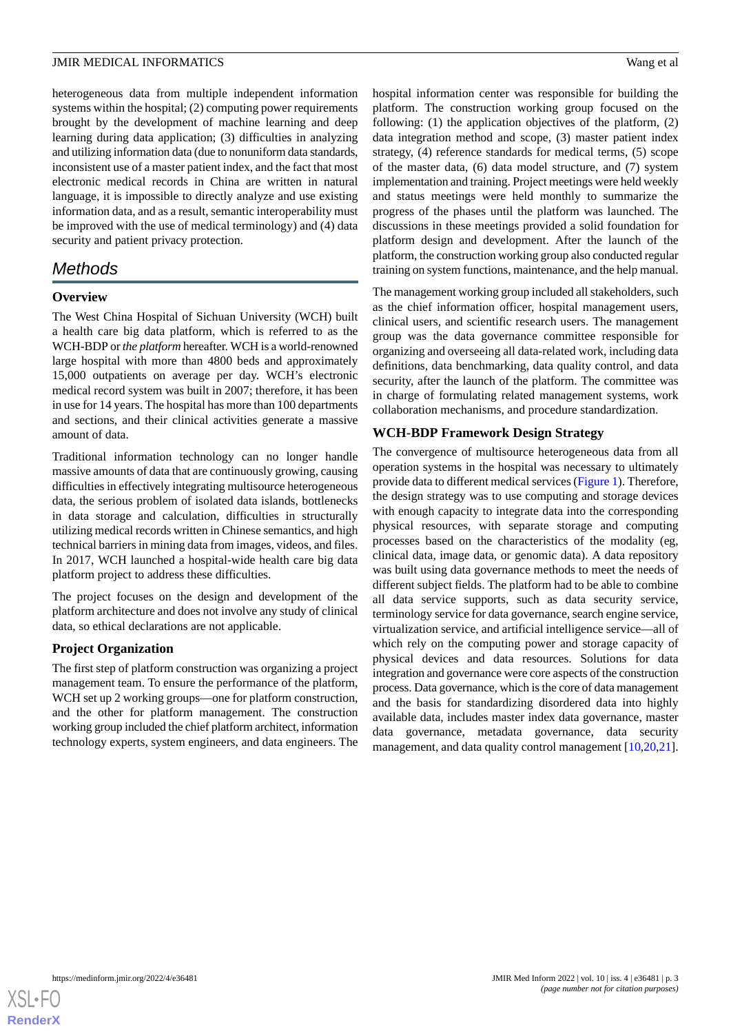heterogeneous data from multiple independent information systems within the hospital; (2) computing power requirements brought by the development of machine learning and deep learning during data application; (3) difficulties in analyzing and utilizing information data (due to nonuniform data standards, inconsistent use of a master patient index, and the fact that most electronic medical records in China are written in natural language, it is impossible to directly analyze and use existing information data, and as a result, semantic interoperability must be improved with the use of medical terminology) and (4) data security and patient privacy protection.

# *Methods*

# **Overview**

The West China Hospital of Sichuan University (WCH) built a health care big data platform, which is referred to as the WCH-BDP or *the platform* hereafter. WCH is a world-renowned large hospital with more than 4800 beds and approximately 15,000 outpatients on average per day. WCH's electronic medical record system was built in 2007; therefore, it has been in use for 14 years. The hospital has more than 100 departments and sections, and their clinical activities generate a massive amount of data.

Traditional information technology can no longer handle massive amounts of data that are continuously growing, causing difficulties in effectively integrating multisource heterogeneous data, the serious problem of isolated data islands, bottlenecks in data storage and calculation, difficulties in structurally utilizing medical records written in Chinese semantics, and high technical barriers in mining data from images, videos, and files. In 2017, WCH launched a hospital-wide health care big data platform project to address these difficulties.

The project focuses on the design and development of the platform architecture and does not involve any study of clinical data, so ethical declarations are not applicable.

# **Project Organization**

The first step of platform construction was organizing a project management team. To ensure the performance of the platform, WCH set up 2 working groups—one for platform construction, and the other for platform management. The construction working group included the chief platform architect, information technology experts, system engineers, and data engineers. The

hospital information center was responsible for building the platform. The construction working group focused on the following: (1) the application objectives of the platform, (2) data integration method and scope, (3) master patient index strategy, (4) reference standards for medical terms, (5) scope of the master data, (6) data model structure, and (7) system implementation and training. Project meetings were held weekly and status meetings were held monthly to summarize the progress of the phases until the platform was launched. The discussions in these meetings provided a solid foundation for platform design and development. After the launch of the platform, the construction working group also conducted regular training on system functions, maintenance, and the help manual.

The management working group included all stakeholders, such as the chief information officer, hospital management users, clinical users, and scientific research users. The management group was the data governance committee responsible for organizing and overseeing all data-related work, including data definitions, data benchmarking, data quality control, and data security, after the launch of the platform. The committee was in charge of formulating related management systems, work collaboration mechanisms, and procedure standardization.

# **WCH-BDP Framework Design Strategy**

The convergence of multisource heterogeneous data from all operation systems in the hospital was necessary to ultimately provide data to different medical services [\(Figure 1](#page-3-0)). Therefore, the design strategy was to use computing and storage devices with enough capacity to integrate data into the corresponding physical resources, with separate storage and computing processes based on the characteristics of the modality (eg, clinical data, image data, or genomic data). A data repository was built using data governance methods to meet the needs of different subject fields. The platform had to be able to combine all data service supports, such as data security service, terminology service for data governance, search engine service, virtualization service, and artificial intelligence service—all of which rely on the computing power and storage capacity of physical devices and data resources. Solutions for data integration and governance were core aspects of the construction process. Data governance, which is the core of data management and the basis for standardizing disordered data into highly available data, includes master index data governance, master data governance, metadata governance, data security management, and data quality control management [[10](#page-13-3)[,20](#page-13-13),[21\]](#page-13-14).

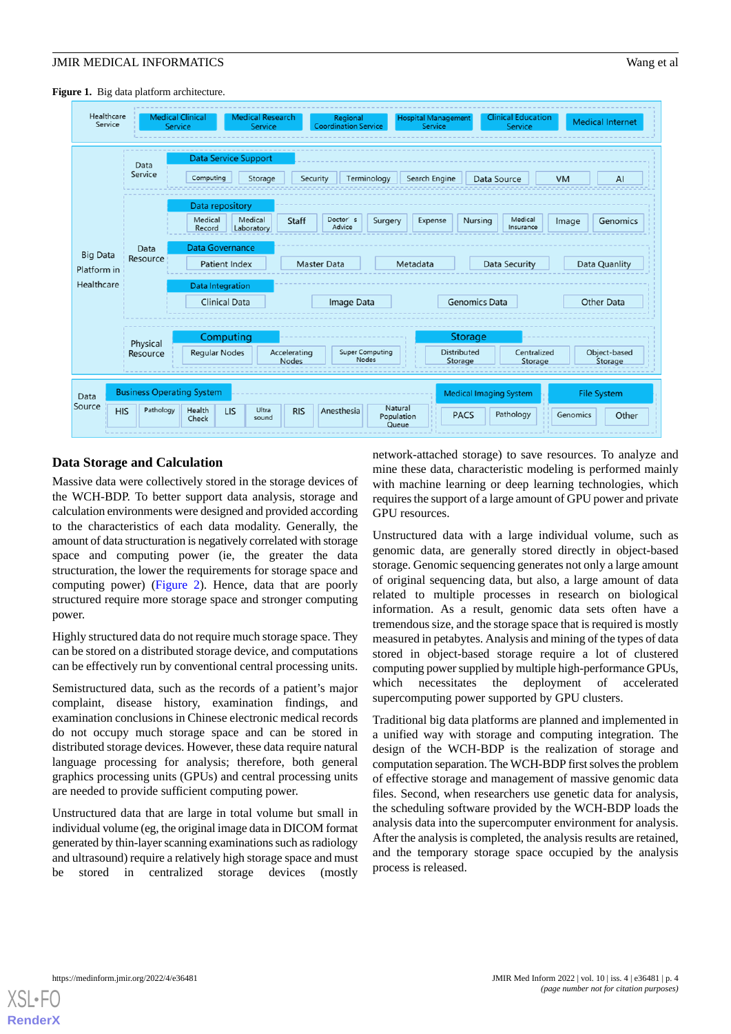<span id="page-3-0"></span>Figure 1. Big data platform architecture.



# **Data Storage and Calculation**

Massive data were collectively stored in the storage devices of the WCH-BDP. To better support data analysis, storage and calculation environments were designed and provided according to the characteristics of each data modality. Generally, the amount of data structuration is negatively correlated with storage space and computing power (ie, the greater the data structuration, the lower the requirements for storage space and computing power) ([Figure 2\)](#page-4-0). Hence, data that are poorly structured require more storage space and stronger computing power.

Highly structured data do not require much storage space. They can be stored on a distributed storage device, and computations can be effectively run by conventional central processing units.

Semistructured data, such as the records of a patient's major complaint, disease history, examination findings, and examination conclusions in Chinese electronic medical records do not occupy much storage space and can be stored in distributed storage devices. However, these data require natural language processing for analysis; therefore, both general graphics processing units (GPUs) and central processing units are needed to provide sufficient computing power.

Unstructured data that are large in total volume but small in individual volume (eg, the original image data in DICOM format generated by thin-layer scanning examinations such as radiology and ultrasound) require a relatively high storage space and must be stored in centralized storage devices (mostly

network-attached storage) to save resources. To analyze and mine these data, characteristic modeling is performed mainly with machine learning or deep learning technologies, which requires the support of a large amount of GPU power and private GPU resources.

Unstructured data with a large individual volume, such as genomic data, are generally stored directly in object-based storage. Genomic sequencing generates not only a large amount of original sequencing data, but also, a large amount of data related to multiple processes in research on biological information. As a result, genomic data sets often have a tremendous size, and the storage space that is required is mostly measured in petabytes. Analysis and mining of the types of data stored in object-based storage require a lot of clustered computing power supplied by multiple high-performance GPUs, which necessitates the deployment of accelerated supercomputing power supported by GPU clusters.

Traditional big data platforms are planned and implemented in a unified way with storage and computing integration. The design of the WCH-BDP is the realization of storage and computation separation. The WCH-BDP first solves the problem of effective storage and management of massive genomic data files. Second, when researchers use genetic data for analysis, the scheduling software provided by the WCH-BDP loads the analysis data into the supercomputer environment for analysis. After the analysis is completed, the analysis results are retained, and the temporary storage space occupied by the analysis process is released.

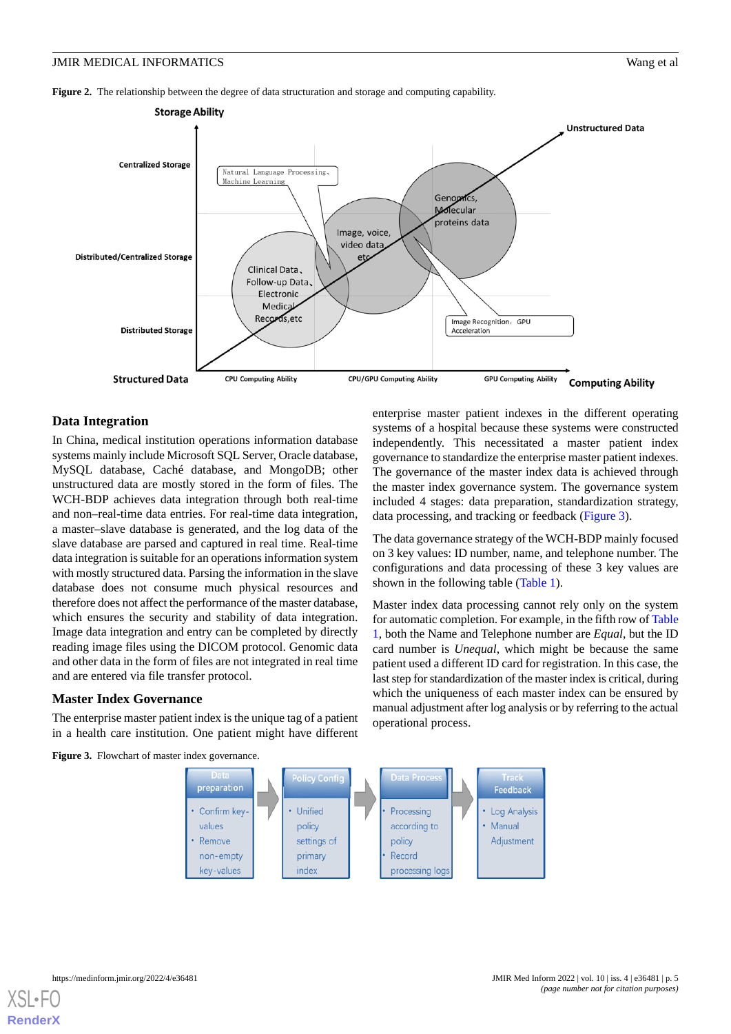<span id="page-4-0"></span>**Figure 2.** The relationship between the degree of data structuration and storage and computing capability.



#### **Data Integration**

In China, medical institution operations information database systems mainly include Microsoft SQL Server, Oracle database, MySQL database, Caché database, and MongoDB; other unstructured data are mostly stored in the form of files. The WCH-BDP achieves data integration through both real-time and non–real-time data entries. For real-time data integration, a master–slave database is generated, and the log data of the slave database are parsed and captured in real time. Real-time data integration is suitable for an operations information system with mostly structured data. Parsing the information in the slave database does not consume much physical resources and therefore does not affect the performance of the master database, which ensures the security and stability of data integration. Image data integration and entry can be completed by directly reading image files using the DICOM protocol. Genomic data and other data in the form of files are not integrated in real time and are entered via file transfer protocol.

#### <span id="page-4-1"></span>**Master Index Governance**

The enterprise master patient index is the unique tag of a patient in a health care institution. One patient might have different enterprise master patient indexes in the different operating systems of a hospital because these systems were constructed independently. This necessitated a master patient index governance to standardize the enterprise master patient indexes. The governance of the master index data is achieved through the master index governance system. The governance system included 4 stages: data preparation, standardization strategy, data processing, and tracking or feedback ([Figure 3](#page-4-1)).

The data governance strategy of the WCH-BDP mainly focused on 3 key values: ID number, name, and telephone number. The configurations and data processing of these 3 key values are shown in the following table [\(Table 1\)](#page-5-0).

Master index data processing cannot rely only on the system for automatic completion. For example, in the fifth row of [Table](#page-5-0) [1,](#page-5-0) both the Name and Telephone number are *Equal*, but the ID card number is *Unequal*, which might be because the same patient used a different ID card for registration. In this case, the last step for standardization of the master index is critical, during which the uniqueness of each master index can be ensured by manual adjustment after log analysis or by referring to the actual operational process.





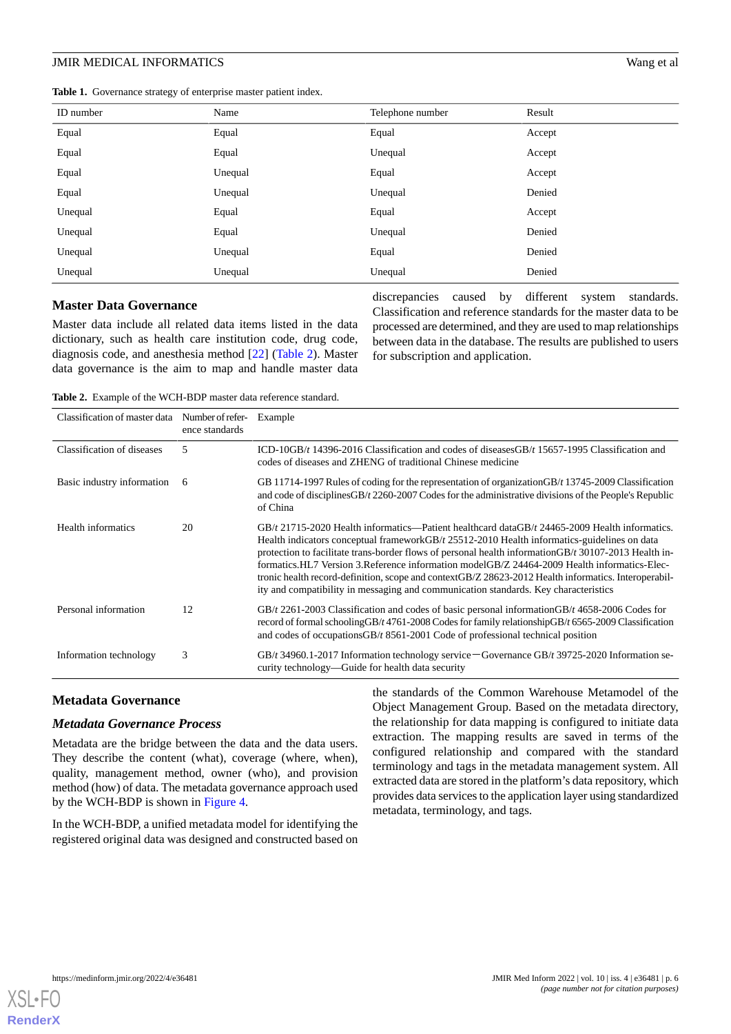<span id="page-5-0"></span>

|  |  |  |  | Table 1. Governance strategy of enterprise master patient index. |
|--|--|--|--|------------------------------------------------------------------|
|--|--|--|--|------------------------------------------------------------------|

| ID number | Name    | Telephone number | Result |
|-----------|---------|------------------|--------|
| Equal     | Equal   | Equal            | Accept |
| Equal     | Equal   | Unequal          | Accept |
| Equal     | Unequal | Equal            | Accept |
| Equal     | Unequal | Unequal          | Denied |
| Unequal   | Equal   | Equal            | Accept |
| Unequal   | Equal   | Unequal          | Denied |
| Unequal   | Unequal | Equal            | Denied |
| Unequal   | Unequal | Unequal          | Denied |

#### **Master Data Governance**

<span id="page-5-1"></span>Master data include all related data items listed in the data dictionary, such as health care institution code, drug code, diagnosis code, and anesthesia method [[22\]](#page-13-15) [\(Table 2](#page-5-1)). Master data governance is the aim to map and handle master data discrepancies caused by different system standards. Classification and reference standards for the master data to be processed are determined, and they are used to map relationships between data in the database. The results are published to users for subscription and application.

**Table 2.** Example of the WCH-BDP master data reference standard.

| Classification of master data | Number of refer-<br>ence standards | Example                                                                                                                                                                                                                                                                                                                                                                                                                                                                                                                                                                                                     |
|-------------------------------|------------------------------------|-------------------------------------------------------------------------------------------------------------------------------------------------------------------------------------------------------------------------------------------------------------------------------------------------------------------------------------------------------------------------------------------------------------------------------------------------------------------------------------------------------------------------------------------------------------------------------------------------------------|
| Classification of diseases    | 5                                  | ICD-10GB/ $t$ 14396-2016 Classification and codes of diseasesGB/ $t$ 15657-1995 Classification and<br>codes of diseases and ZHENG of traditional Chinese medicine                                                                                                                                                                                                                                                                                                                                                                                                                                           |
| Basic industry information    | 6                                  | GB 11714-1997 Rules of coding for the representation of organization GB/t 13745-2009 Classification<br>and code of disciplines GB/t 2260-2007 Codes for the administrative divisions of the People's Republic<br>of China                                                                                                                                                                                                                                                                                                                                                                                   |
| Health informatics            | 20                                 | $GB/t$ 21715-2020 Health informatics—Patient healthcard data $GB/t$ 24465-2009 Health informatics.<br>Health indicators conceptual frameworkGB/t 25512-2010 Health informatics-guidelines on data<br>protection to facilitate trans-border flows of personal health information GB/ $t$ 30107-2013 Health in-<br>formatics.HL7 Version 3.Reference information modelGB/Z 24464-2009 Health informatics-Elec-<br>tronic health record-definition, scope and contextGB/Z 28623-2012 Health informatics. Interoperabil-<br>ity and compatibility in messaging and communication standards. Key characteristics |
| Personal information          | 12                                 | GB/t 2261-2003 Classification and codes of basic personal information GB/t 4658-2006 Codes for<br>record of formal schooling GB/t 4761-2008 Codes for family relationship GB/t 6565-2009 Classification<br>and codes of occupationsGB/t 8561-2001 Code of professional technical position                                                                                                                                                                                                                                                                                                                   |
| Information technology        | 3                                  | GB/t 34960.1-2017 Information technology service – Governance GB/t 39725-2020 Information se-<br>curity technology—Guide for health data security                                                                                                                                                                                                                                                                                                                                                                                                                                                           |

#### **Metadata Governance**

#### *Metadata Governance Process*

Metadata are the bridge between the data and the data users. They describe the content (what), coverage (where, when), quality, management method, owner (who), and provision method (how) of data. The metadata governance approach used by the WCH-BDP is shown in [Figure 4.](#page-6-0)

In the WCH-BDP, a unified metadata model for identifying the registered original data was designed and constructed based on the standards of the Common Warehouse Metamodel of the Object Management Group. Based on the metadata directory, the relationship for data mapping is configured to initiate data extraction. The mapping results are saved in terms of the configured relationship and compared with the standard terminology and tags in the metadata management system. All extracted data are stored in the platform's data repository, which provides data services to the application layer using standardized metadata, terminology, and tags.

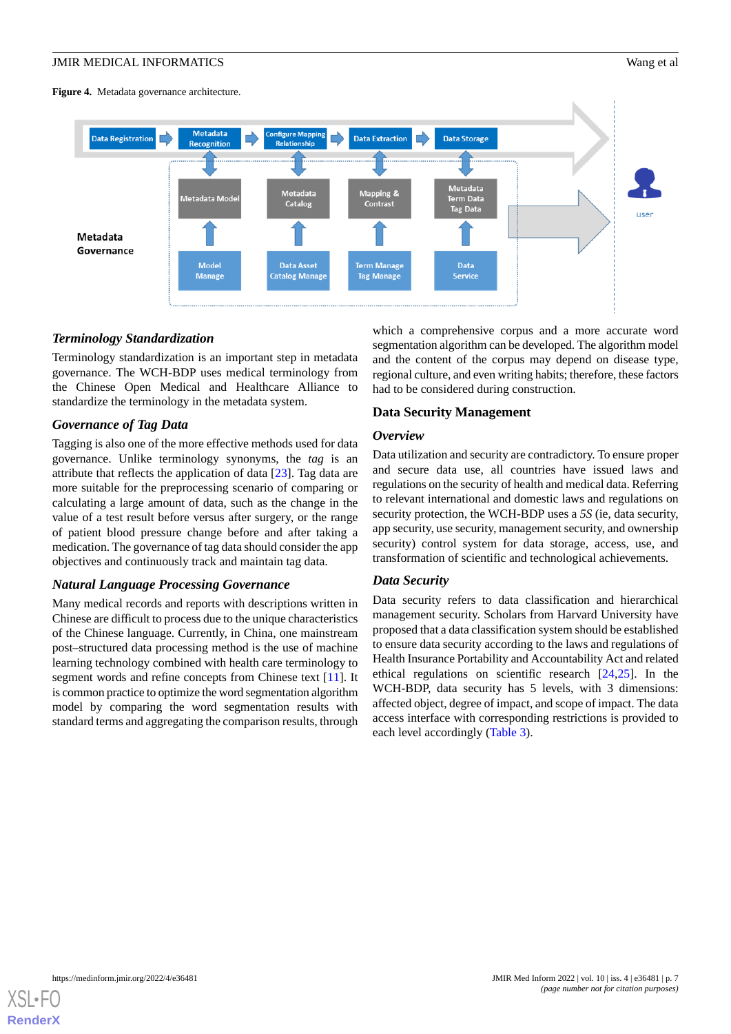<span id="page-6-0"></span>**Figure 4.** Metadata governance architecture.



#### *Terminology Standardization*

Terminology standardization is an important step in metadata governance. The WCH-BDP uses medical terminology from the Chinese Open Medical and Healthcare Alliance to standardize the terminology in the metadata system.

#### *Governance of Tag Data*

Tagging is also one of the more effective methods used for data governance. Unlike terminology synonyms, the *tag* is an attribute that reflects the application of data [\[23](#page-13-16)]. Tag data are more suitable for the preprocessing scenario of comparing or calculating a large amount of data, such as the change in the value of a test result before versus after surgery, or the range of patient blood pressure change before and after taking a medication. The governance of tag data should consider the app objectives and continuously track and maintain tag data.

# *Natural Language Processing Governance*

Many medical records and reports with descriptions written in Chinese are difficult to process due to the unique characteristics of the Chinese language. Currently, in China, one mainstream post–structured data processing method is the use of machine learning technology combined with health care terminology to segment words and refine concepts from Chinese text [[11\]](#page-13-4). It is common practice to optimize the word segmentation algorithm model by comparing the word segmentation results with standard terms and aggregating the comparison results, through

which a comprehensive corpus and a more accurate word segmentation algorithm can be developed. The algorithm model and the content of the corpus may depend on disease type, regional culture, and even writing habits; therefore, these factors had to be considered during construction.

#### **Data Security Management**

#### *Overview*

Data utilization and security are contradictory. To ensure proper and secure data use, all countries have issued laws and regulations on the security of health and medical data. Referring to relevant international and domestic laws and regulations on security protection, the WCH-BDP uses a *5S* (ie, data security, app security, use security, management security, and ownership security) control system for data storage, access, use, and transformation of scientific and technological achievements.

#### *Data Security*

Data security refers to data classification and hierarchical management security. Scholars from Harvard University have proposed that a data classification system should be established to ensure data security according to the laws and regulations of Health Insurance Portability and Accountability Act and related ethical regulations on scientific research [[24,](#page-13-17)[25](#page-13-18)]. In the WCH-BDP, data security has 5 levels, with 3 dimensions: affected object, degree of impact, and scope of impact. The data access interface with corresponding restrictions is provided to each level accordingly [\(Table 3](#page-7-0)).

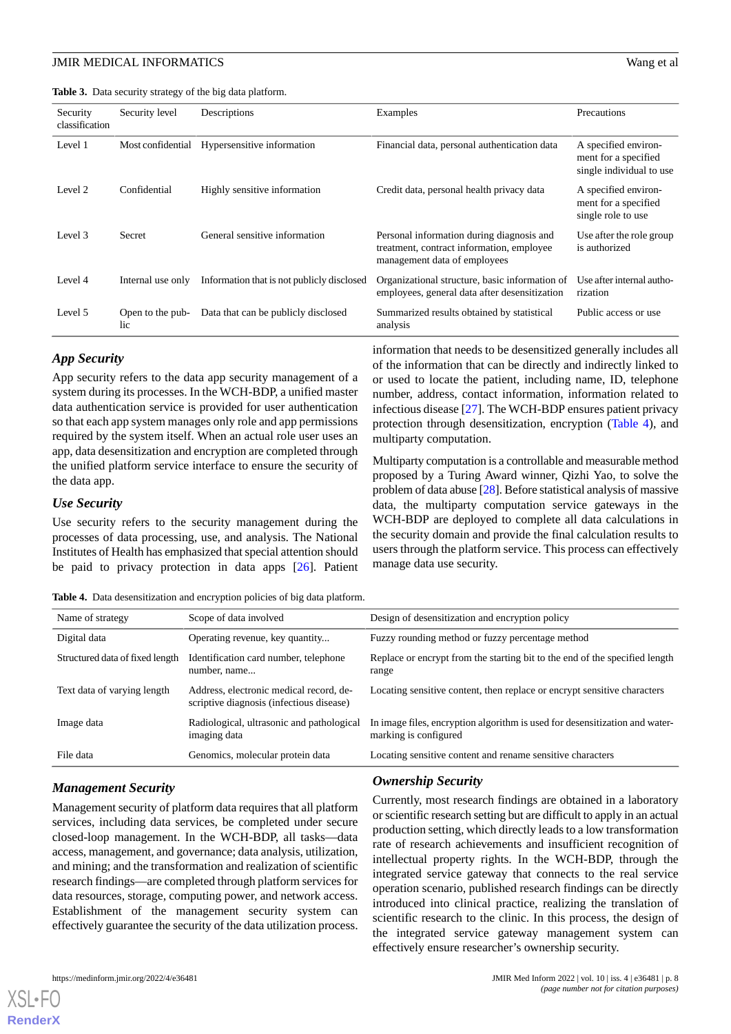<span id="page-7-0"></span>**Table 3.** Data security strategy of the big data platform.

| Security<br>classification | Security level          | Descriptions                               | Examples                                                                                                               | <b>Precautions</b>                                                       |
|----------------------------|-------------------------|--------------------------------------------|------------------------------------------------------------------------------------------------------------------------|--------------------------------------------------------------------------|
| Level 1                    | Most confidential       | Hypersensitive information                 | Financial data, personal authentication data                                                                           | A specified environ-<br>ment for a specified<br>single individual to use |
| Level 2                    | Confidential            | Highly sensitive information               | Credit data, personal health privacy data                                                                              | A specified environ-<br>ment for a specified<br>single role to use       |
| Level 3                    | Secret                  | General sensitive information              | Personal information during diagnosis and<br>treatment, contract information, employee<br>management data of employees | Use after the role group<br>is authorized                                |
| Level 4                    | Internal use only       | Information that is not publicly disclosed | Organizational structure, basic information of<br>employees, general data after desensitization                        | Use after internal autho-<br>rization                                    |
| Level 5                    | Open to the pub-<br>lic | Data that can be publicly disclosed        | Summarized results obtained by statistical<br>analysis                                                                 | Public access or use                                                     |

#### *App Security*

App security refers to the data app security management of a system during its processes. In the WCH-BDP, a unified master data authentication service is provided for user authentication so that each app system manages only role and app permissions required by the system itself. When an actual role user uses an app, data desensitization and encryption are completed through the unified platform service interface to ensure the security of the data app.

#### *Use Security*

<span id="page-7-1"></span>Use security refers to the security management during the processes of data processing, use, and analysis. The National Institutes of Health has emphasized that special attention should be paid to privacy protection in data apps [\[26](#page-13-19)]. Patient

**Table 4.** Data desensitization and encryption policies of big data platform.

| Name of strategy                | Scope of data involved                                                              | Design of desensitization and encryption policy                                                      |
|---------------------------------|-------------------------------------------------------------------------------------|------------------------------------------------------------------------------------------------------|
| Digital data                    | Operating revenue, key quantity                                                     | Fuzzy rounding method or fuzzy percentage method                                                     |
| Structured data of fixed length | Identification card number, telephone<br>number, name                               | Replace or encrypt from the starting bit to the end of the specified length<br>range                 |
| Text data of varying length     | Address, electronic medical record, de-<br>scriptive diagnosis (infectious disease) | Locating sensitive content, then replace or encrypt sensitive characters                             |
| Image data                      | Radiological, ultrasonic and pathological<br>imaging data                           | In image files, encryption algorithm is used for desensitization and water-<br>marking is configured |
| File data                       | Genomics, molecular protein data                                                    | Locating sensitive content and rename sensitive characters                                           |
|                                 |                                                                                     |                                                                                                      |

#### *Management Security*

Management security of platform data requires that all platform services, including data services, be completed under secure closed-loop management. In the WCH-BDP, all tasks—data access, management, and governance; data analysis, utilization, and mining; and the transformation and realization of scientific research findings—are completed through platform services for data resources, storage, computing power, and network access. Establishment of the management security system can effectively guarantee the security of the data utilization process.

#### *Ownership Security*

multiparty computation.

manage data use security.

Currently, most research findings are obtained in a laboratory or scientific research setting but are difficult to apply in an actual production setting, which directly leads to a low transformation rate of research achievements and insufficient recognition of intellectual property rights. In the WCH-BDP, through the integrated service gateway that connects to the real service operation scenario, published research findings can be directly introduced into clinical practice, realizing the translation of scientific research to the clinic. In this process, the design of the integrated service gateway management system can effectively ensure researcher's ownership security.

information that needs to be desensitized generally includes all of the information that can be directly and indirectly linked to or used to locate the patient, including name, ID, telephone number, address, contact information, information related to infectious disease [\[27](#page-13-20)]. The WCH-BDP ensures patient privacy protection through desensitization, encryption [\(Table 4\)](#page-7-1), and

Multiparty computation is a controllable and measurable method proposed by a Turing Award winner, Qizhi Yao, to solve the problem of data abuse [[28\]](#page-13-21). Before statistical analysis of massive data, the multiparty computation service gateways in the WCH-BDP are deployed to complete all data calculations in the security domain and provide the final calculation results to users through the platform service. This process can effectively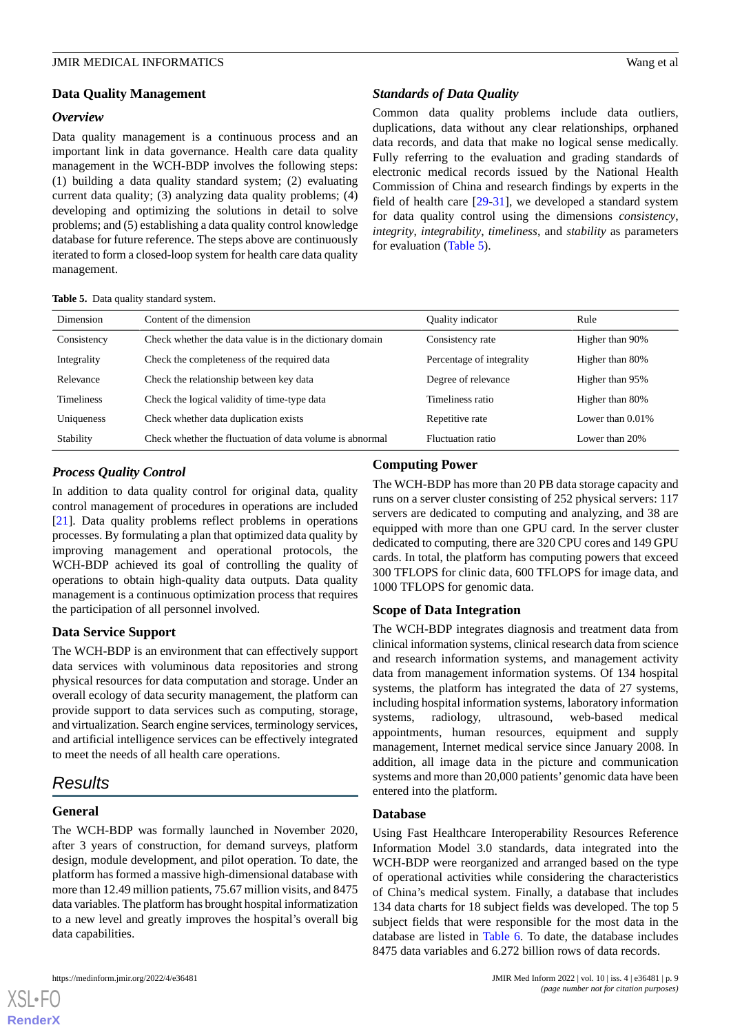#### **Data Quality Management**

#### *Overview*

Data quality management is a continuous process and an important link in data governance. Health care data quality management in the WCH-BDP involves the following steps: (1) building a data quality standard system; (2) evaluating current data quality; (3) analyzing data quality problems; (4) developing and optimizing the solutions in detail to solve problems; and (5) establishing a data quality control knowledge database for future reference. The steps above are continuously iterated to form a closed-loop system for health care data quality management.

<span id="page-8-0"></span>

|  |  |  | Table 5. Data quality standard system. |  |
|--|--|--|----------------------------------------|--|
|--|--|--|----------------------------------------|--|

# *Standards of Data Quality*

Common data quality problems include data outliers, duplications, data without any clear relationships, orphaned data records, and data that make no logical sense medically. Fully referring to the evaluation and grading standards of electronic medical records issued by the National Health Commission of China and research findings by experts in the field of health care [\[29](#page-13-22)-[31\]](#page-14-0), we developed a standard system for data quality control using the dimensions *consistency*, *integrity*, *integrability*, *timeliness*, and *stability* as parameters for evaluation ([Table 5](#page-8-0)).

| Dimension         | Content of the dimension                                 | Quality indicator         | Rule                |
|-------------------|----------------------------------------------------------|---------------------------|---------------------|
| Consistency       | Check whether the data value is in the dictionary domain | Consistency rate          | Higher than 90%     |
| Integrality       | Check the completeness of the required data              | Percentage of integrality | Higher than 80%     |
| Relevance         | Check the relationship between key data                  | Degree of relevance       | Higher than 95%     |
| <b>Timeliness</b> | Check the logical validity of time-type data             | Timeliness ratio          | Higher than 80%     |
| Uniqueness        | Check whether data duplication exists                    | Repetitive rate           | Lower than $0.01\%$ |
| Stability         | Check whether the fluctuation of data volume is abnormal | <b>Fluctuation</b> ratio  | Lower than 20%      |

# *Process Quality Control*

In addition to data quality control for original data, quality control management of procedures in operations are included [[21\]](#page-13-14). Data quality problems reflect problems in operations processes. By formulating a plan that optimized data quality by improving management and operational protocols, the WCH-BDP achieved its goal of controlling the quality of operations to obtain high-quality data outputs. Data quality management is a continuous optimization process that requires the participation of all personnel involved.

# **Data Service Support**

The WCH-BDP is an environment that can effectively support data services with voluminous data repositories and strong physical resources for data computation and storage. Under an overall ecology of data security management, the platform can provide support to data services such as computing, storage, and virtualization. Search engine services, terminology services, and artificial intelligence services can be effectively integrated to meet the needs of all health care operations.

# *Results*

# **General**

[XSL](http://www.w3.org/Style/XSL)•FO **[RenderX](http://www.renderx.com/)**

The WCH-BDP was formally launched in November 2020, after 3 years of construction, for demand surveys, platform design, module development, and pilot operation. To date, the platform has formed a massive high-dimensional database with more than 12.49 million patients, 75.67 million visits, and 8475 data variables. The platform has brought hospital informatization to a new level and greatly improves the hospital's overall big data capabilities.

# **Computing Power**

The WCH-BDP has more than 20 PB data storage capacity and runs on a server cluster consisting of 252 physical servers: 117 servers are dedicated to computing and analyzing, and 38 are equipped with more than one GPU card. In the server cluster dedicated to computing, there are 320 CPU cores and 149 GPU cards. In total, the platform has computing powers that exceed 300 TFLOPS for clinic data, 600 TFLOPS for image data, and 1000 TFLOPS for genomic data.

# **Scope of Data Integration**

The WCH-BDP integrates diagnosis and treatment data from clinical information systems, clinical research data from science and research information systems, and management activity data from management information systems. Of 134 hospital systems, the platform has integrated the data of 27 systems, including hospital information systems, laboratory information systems, radiology, ultrasound, web-based medical appointments, human resources, equipment and supply management, Internet medical service since January 2008. In addition, all image data in the picture and communication systems and more than 20,000 patients'genomic data have been entered into the platform.

#### **Database**

Using Fast Healthcare Interoperability Resources Reference Information Model 3.0 standards, data integrated into the WCH-BDP were reorganized and arranged based on the type of operational activities while considering the characteristics of China's medical system. Finally, a database that includes 134 data charts for 18 subject fields was developed. The top 5 subject fields that were responsible for the most data in the database are listed in [Table 6.](#page-9-0) To date, the database includes 8475 data variables and 6.272 billion rows of data records.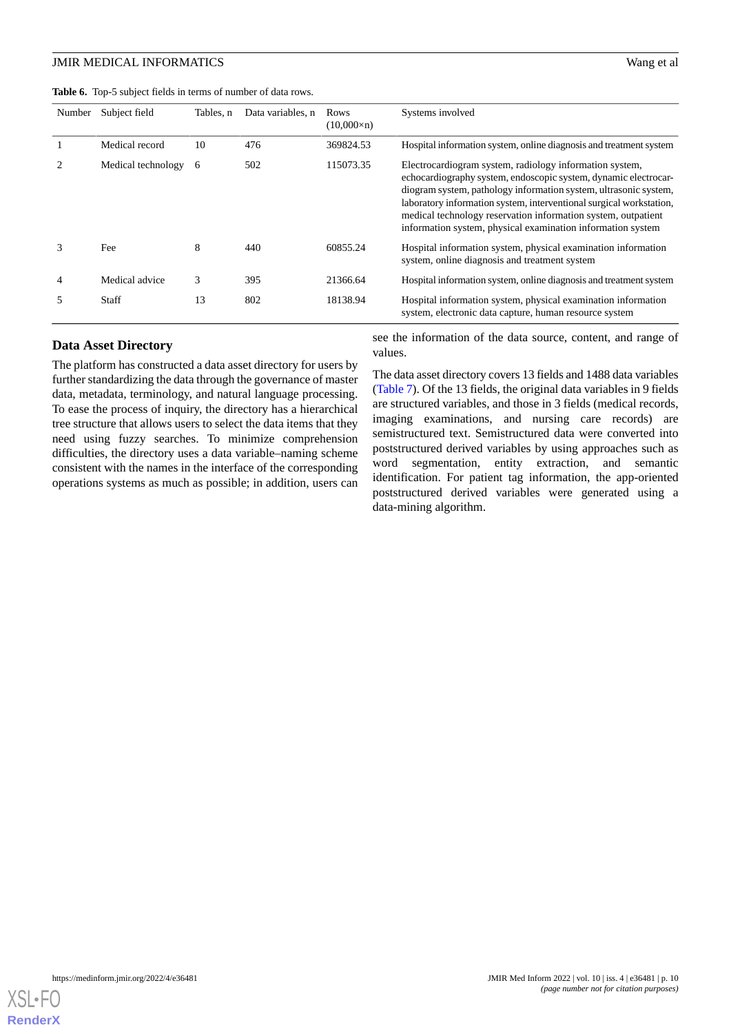<span id="page-9-0"></span>

| <b>Table 6.</b> Top-5 subject fields in terms of number of data rows. |  |  |  |
|-----------------------------------------------------------------------|--|--|--|
|-----------------------------------------------------------------------|--|--|--|

| Number         | Subject field      | Tables, n | Data variables, n | Rows<br>$(10,000\times n)$ | Systems involved                                                                                                                                                                                                                                                                                                                                                                                      |
|----------------|--------------------|-----------|-------------------|----------------------------|-------------------------------------------------------------------------------------------------------------------------------------------------------------------------------------------------------------------------------------------------------------------------------------------------------------------------------------------------------------------------------------------------------|
|                | Medical record     | 10        | 476               | 369824.53                  | Hospital information system, online diagnosis and treatment system                                                                                                                                                                                                                                                                                                                                    |
| $\mathfrak{D}$ | Medical technology | 6         | 502               | 115073.35                  | Electrocardiogram system, radiology information system,<br>echocardiography system, endoscopic system, dynamic electrocar-<br>diogram system, pathology information system, ultrasonic system,<br>laboratory information system, interventional surgical workstation,<br>medical technology reservation information system, outpatient<br>information system, physical examination information system |
| 3              | Fee                | 8         | 440               | 60855.24                   | Hospital information system, physical examination information<br>system, online diagnosis and treatment system                                                                                                                                                                                                                                                                                        |
| 4              | Medical advice     | 3         | 395               | 21366.64                   | Hospital information system, online diagnosis and treatment system                                                                                                                                                                                                                                                                                                                                    |
| 5              | Staff              | 13        | 802               | 18138.94                   | Hospital information system, physical examination information<br>system, electronic data capture, human resource system                                                                                                                                                                                                                                                                               |

#### **Data Asset Directory**

The platform has constructed a data asset directory for users by further standardizing the data through the governance of master data, metadata, terminology, and natural language processing. To ease the process of inquiry, the directory has a hierarchical tree structure that allows users to select the data items that they need using fuzzy searches. To minimize comprehension difficulties, the directory uses a data variable–naming scheme consistent with the names in the interface of the corresponding operations systems as much as possible; in addition, users can see the information of the data source, content, and range of values.

The data asset directory covers 13 fields and 1488 data variables ([Table 7](#page-10-0)). Of the 13 fields, the original data variables in 9 fields are structured variables, and those in 3 fields (medical records, imaging examinations, and nursing care records) are semistructured text. Semistructured data were converted into poststructured derived variables by using approaches such as word segmentation, entity extraction, and semantic identification. For patient tag information, the app-oriented poststructured derived variables were generated using a data-mining algorithm.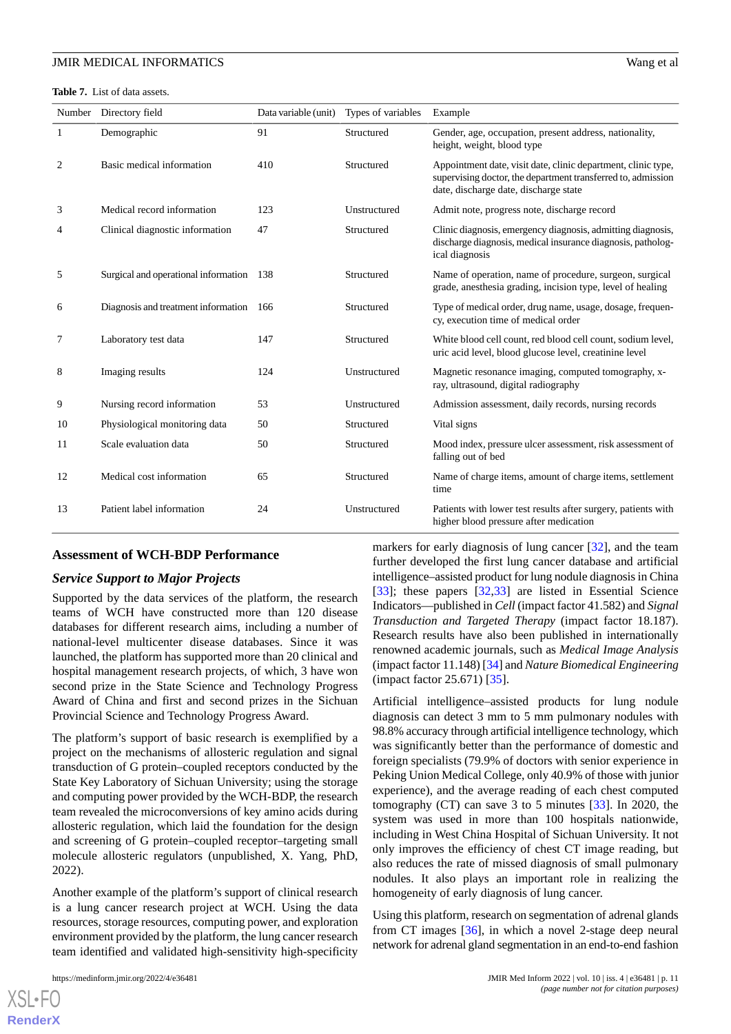<span id="page-10-0"></span>**Table 7.** List of data assets.

| Number | Directory field                          | Data variable (unit) | Types of variables | Example                                                                                                                                                                |
|--------|------------------------------------------|----------------------|--------------------|------------------------------------------------------------------------------------------------------------------------------------------------------------------------|
| 1      | Demographic                              | 91                   | Structured         | Gender, age, occupation, present address, nationality,<br>height, weight, blood type                                                                                   |
| 2      | Basic medical information                | 410                  | Structured         | Appointment date, visit date, clinic department, clinic type,<br>supervising doctor, the department transferred to, admission<br>date, discharge date, discharge state |
| 3      | Medical record information               | 123                  | Unstructured       | Admit note, progress note, discharge record                                                                                                                            |
| 4      | Clinical diagnostic information          | 47                   | Structured         | Clinic diagnosis, emergency diagnosis, admitting diagnosis,<br>discharge diagnosis, medical insurance diagnosis, patholog-<br>ical diagnosis                           |
| 5      | Surgical and operational information 138 |                      | Structured         | Name of operation, name of procedure, surgeon, surgical<br>grade, anesthesia grading, incision type, level of healing                                                  |
| 6      | Diagnosis and treatment information 166  |                      | Structured         | Type of medical order, drug name, usage, dosage, frequen-<br>cy, execution time of medical order                                                                       |
| 7      | Laboratory test data                     | 147                  | Structured         | White blood cell count, red blood cell count, sodium level,<br>uric acid level, blood glucose level, creatinine level                                                  |
| 8      | Imaging results                          | 124                  | Unstructured       | Magnetic resonance imaging, computed tomography, x-<br>ray, ultrasound, digital radiography                                                                            |
| 9      | Nursing record information               | 53                   | Unstructured       | Admission assessment, daily records, nursing records                                                                                                                   |
| 10     | Physiological monitoring data            | 50                   | Structured         | Vital signs                                                                                                                                                            |
| 11     | Scale evaluation data                    | 50                   | Structured         | Mood index, pressure ulcer assessment, risk assessment of<br>falling out of bed                                                                                        |
| 12     | Medical cost information                 | 65                   | Structured         | Name of charge items, amount of charge items, settlement<br>time                                                                                                       |
| 13     | Patient label information                | 24                   | Unstructured       | Patients with lower test results after surgery, patients with<br>higher blood pressure after medication                                                                |

#### **Assessment of WCH-BDP Performance**

#### *Service Support to Major Projects*

Supported by the data services of the platform, the research teams of WCH have constructed more than 120 disease databases for different research aims, including a number of national-level multicenter disease databases. Since it was launched, the platform has supported more than 20 clinical and hospital management research projects, of which, 3 have won second prize in the State Science and Technology Progress Award of China and first and second prizes in the Sichuan Provincial Science and Technology Progress Award.

The platform's support of basic research is exemplified by a project on the mechanisms of allosteric regulation and signal transduction of G protein–coupled receptors conducted by the State Key Laboratory of Sichuan University; using the storage and computing power provided by the WCH-BDP, the research team revealed the microconversions of key amino acids during allosteric regulation, which laid the foundation for the design and screening of G protein–coupled receptor–targeting small molecule allosteric regulators (unpublished, X. Yang, PhD, 2022).

Another example of the platform's support of clinical research is a lung cancer research project at WCH. Using the data resources, storage resources, computing power, and exploration environment provided by the platform, the lung cancer research team identified and validated high-sensitivity high-specificity

 $X$ SL•FO **[RenderX](http://www.renderx.com/)** markers for early diagnosis of lung cancer [[32\]](#page-14-1), and the team further developed the first lung cancer database and artificial intelligence–assisted product for lung nodule diagnosis in China [[33\]](#page-14-2); these papers [[32](#page-14-1)[,33](#page-14-2)] are listed in Essential Science Indicators—published in *Cell* (impact factor 41.582) and *Signal Transduction and Targeted Therapy* (impact factor 18.187). Research results have also been published in internationally renowned academic journals, such as *Medical Image Analysis* (impact factor 11.148) [\[34](#page-14-3)] and *Nature Biomedical Engineering* (impact factor 25.671) [\[35](#page-14-4)].

Artificial intelligence–assisted products for lung nodule diagnosis can detect 3 mm to 5 mm pulmonary nodules with 98.8% accuracy through artificial intelligence technology, which was significantly better than the performance of domestic and foreign specialists (79.9% of doctors with senior experience in Peking Union Medical College, only 40.9% of those with junior experience), and the average reading of each chest computed tomography (CT) can save 3 to 5 minutes [\[33](#page-14-2)]. In 2020, the system was used in more than 100 hospitals nationwide, including in West China Hospital of Sichuan University. It not only improves the efficiency of chest CT image reading, but also reduces the rate of missed diagnosis of small pulmonary nodules. It also plays an important role in realizing the homogeneity of early diagnosis of lung cancer.

Using this platform, research on segmentation of adrenal glands from CT images [[36\]](#page-14-5), in which a novel 2-stage deep neural network for adrenal gland segmentation in an end-to-end fashion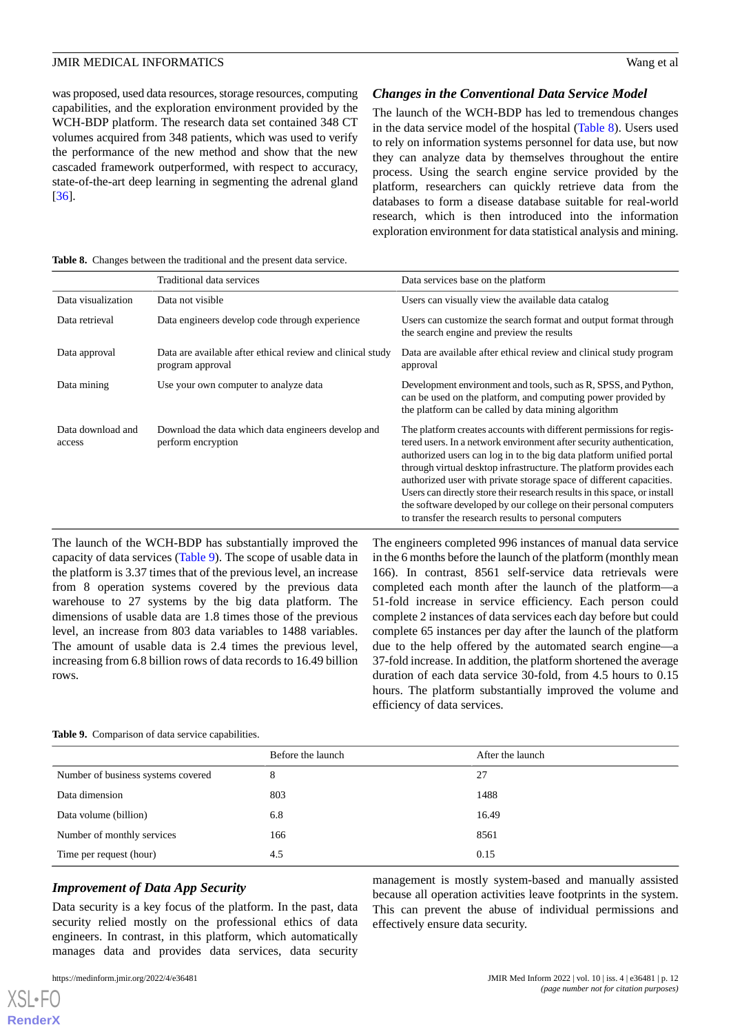was proposed, used data resources, storage resources, computing capabilities, and the exploration environment provided by the WCH-BDP platform. The research data set contained 348 CT volumes acquired from 348 patients, which was used to verify the performance of the new method and show that the new cascaded framework outperformed, with respect to accuracy, state-of-the-art deep learning in segmenting the adrenal gland [[36\]](#page-14-5).

#### *Changes in the Conventional Data Service Model*

The launch of the WCH-BDP has led to tremendous changes in the data service model of the hospital ([Table 8](#page-11-0)). Users used to rely on information systems personnel for data use, but now they can analyze data by themselves throughout the entire process. Using the search engine service provided by the platform, researchers can quickly retrieve data from the databases to form a disease database suitable for real-world research, which is then introduced into the information exploration environment for data statistical analysis and mining.

<span id="page-11-0"></span>

|  |  |  |  | <b>Table 8.</b> Changes between the traditional and the present data service. |  |  |  |  |  |
|--|--|--|--|-------------------------------------------------------------------------------|--|--|--|--|--|
|--|--|--|--|-------------------------------------------------------------------------------|--|--|--|--|--|

|                             | Traditional data services                                                      | Data services base on the platform                                                                                                                                                                                                                                                                                                                                                                                                                                                                                                                                          |
|-----------------------------|--------------------------------------------------------------------------------|-----------------------------------------------------------------------------------------------------------------------------------------------------------------------------------------------------------------------------------------------------------------------------------------------------------------------------------------------------------------------------------------------------------------------------------------------------------------------------------------------------------------------------------------------------------------------------|
| Data visualization          | Data not visible                                                               | Users can visually view the available data catalog                                                                                                                                                                                                                                                                                                                                                                                                                                                                                                                          |
| Data retrieval              | Data engineers develop code through experience                                 | Users can customize the search format and output format through<br>the search engine and preview the results                                                                                                                                                                                                                                                                                                                                                                                                                                                                |
| Data approval               | Data are available after ethical review and clinical study<br>program approval | Data are available after ethical review and clinical study program<br>approval                                                                                                                                                                                                                                                                                                                                                                                                                                                                                              |
| Data mining                 | Use your own computer to analyze data                                          | Development environment and tools, such as R, SPSS, and Python,<br>can be used on the platform, and computing power provided by<br>the platform can be called by data mining algorithm                                                                                                                                                                                                                                                                                                                                                                                      |
| Data download and<br>access | Download the data which data engineers develop and<br>perform encryption       | The platform creates accounts with different permissions for regis-<br>tered users. In a network environment after security authentication,<br>authorized users can log in to the big data platform unified portal<br>through virtual desktop infrastructure. The platform provides each<br>authorized user with private storage space of different capacities.<br>Users can directly store their research results in this space, or install<br>the software developed by our college on their personal computers<br>to transfer the research results to personal computers |

The launch of the WCH-BDP has substantially improved the capacity of data services ([Table 9](#page-11-1)). The scope of usable data in the platform is 3.37 times that of the previous level, an increase from 8 operation systems covered by the previous data warehouse to 27 systems by the big data platform. The dimensions of usable data are 1.8 times those of the previous level, an increase from 803 data variables to 1488 variables. The amount of usable data is 2.4 times the previous level, increasing from 6.8 billion rows of data records to 16.49 billion rows.

The engineers completed 996 instances of manual data service in the 6 months before the launch of the platform (monthly mean 166). In contrast, 8561 self-service data retrievals were completed each month after the launch of the platform—a 51-fold increase in service efficiency. Each person could complete 2 instances of data services each day before but could complete 65 instances per day after the launch of the platform due to the help offered by the automated search engine—a 37-fold increase. In addition, the platform shortened the average duration of each data service 30-fold, from 4.5 hours to 0.15 hours. The platform substantially improved the volume and efficiency of data services.

#### <span id="page-11-1"></span>**Table 9.** Comparison of data service capabilities.

|                                    | Before the launch | After the launch |
|------------------------------------|-------------------|------------------|
| Number of business systems covered | 8                 | 27               |
| Data dimension                     | 803               | 1488             |
| Data volume (billion)              | 6.8               | 16.49            |
| Number of monthly services         | 166               | 8561             |
| Time per request (hour)            | 4.5               | 0.15             |

#### *Improvement of Data App Security*

Data security is a key focus of the platform. In the past, data security relied mostly on the professional ethics of data engineers. In contrast, in this platform, which automatically manages data and provides data services, data security

[XSL](http://www.w3.org/Style/XSL)•FO **[RenderX](http://www.renderx.com/)**

management is mostly system-based and manually assisted because all operation activities leave footprints in the system. This can prevent the abuse of individual permissions and effectively ensure data security.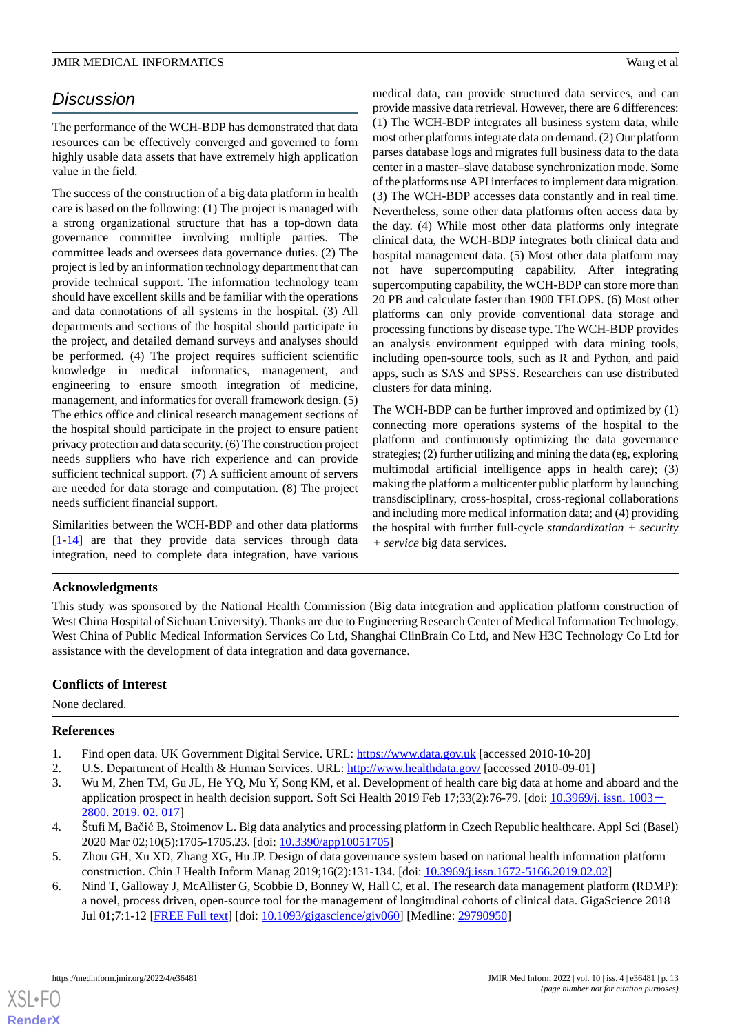# *Discussion*

The performance of the WCH-BDP has demonstrated that data resources can be effectively converged and governed to form highly usable data assets that have extremely high application value in the field.

The success of the construction of a big data platform in health care is based on the following: (1) The project is managed with a strong organizational structure that has a top-down data governance committee involving multiple parties. The committee leads and oversees data governance duties. (2) The project is led by an information technology department that can provide technical support. The information technology team should have excellent skills and be familiar with the operations and data connotations of all systems in the hospital. (3) All departments and sections of the hospital should participate in the project, and detailed demand surveys and analyses should be performed. (4) The project requires sufficient scientific knowledge in medical informatics, management, and engineering to ensure smooth integration of medicine, management, and informatics for overall framework design. (5) The ethics office and clinical research management sections of the hospital should participate in the project to ensure patient privacy protection and data security. (6) The construction project needs suppliers who have rich experience and can provide sufficient technical support. (7) A sufficient amount of servers are needed for data storage and computation. (8) The project needs sufficient financial support.

Similarities between the WCH-BDP and other data platforms [[1](#page-12-0)[-14](#page-13-7)] are that they provide data services through data integration, need to complete data integration, have various

medical data, can provide structured data services, and can provide massive data retrieval. However, there are 6 differences: (1) The WCH-BDP integrates all business system data, while most other platforms integrate data on demand. (2) Our platform parses database logs and migrates full business data to the data center in a master–slave database synchronization mode. Some of the platforms use API interfaces to implement data migration. (3) The WCH-BDP accesses data constantly and in real time. Nevertheless, some other data platforms often access data by the day. (4) While most other data platforms only integrate clinical data, the WCH-BDP integrates both clinical data and hospital management data. (5) Most other data platform may not have supercomputing capability. After integrating supercomputing capability, the WCH-BDP can store more than 20 PB and calculate faster than 1900 TFLOPS. (6) Most other platforms can only provide conventional data storage and processing functions by disease type. The WCH-BDP provides an analysis environment equipped with data mining tools, including open-source tools, such as R and Python, and paid apps, such as SAS and SPSS. Researchers can use distributed clusters for data mining.

The WCH-BDP can be further improved and optimized by (1) connecting more operations systems of the hospital to the platform and continuously optimizing the data governance strategies; (2) further utilizing and mining the data (eg, exploring multimodal artificial intelligence apps in health care); (3) making the platform a multicenter public platform by launching transdisciplinary, cross-hospital, cross-regional collaborations and including more medical information data; and (4) providing the hospital with further full-cycle *standardization + security + service* big data services.

# **Acknowledgments**

This study was sponsored by the National Health Commission (Big data integration and application platform construction of West China Hospital of Sichuan University). Thanks are due to Engineering Research Center of Medical Information Technology, West China of Public Medical Information Services Co Ltd, Shanghai ClinBrain Co Ltd, and New H3C Technology Co Ltd for assistance with the development of data integration and data governance.

# <span id="page-12-1"></span><span id="page-12-0"></span>**Conflicts of Interest**

<span id="page-12-2"></span>None declared.

# **References**

- <span id="page-12-3"></span>1. Find open data. UK Government Digital Service. URL: <https://www.data.gov.uk> [accessed 2010-10-20]
- <span id="page-12-4"></span>2. U.S. Department of Health & Human Services. URL: <http://www.healthdata.gov/> [accessed 2010-09-01]
- <span id="page-12-5"></span>3. Wu M, Zhen TM, Gu JL, He YQ, Mu Y, Song KM, et al. Development of health care big data at home and aboard and the application prospect in health decision support. Soft Sci Health 2019 Feb 17;33(2):76-79. [doi: [10.3969/j. issn. 1003](http://dx.doi.org/10.3969/j. issn. 1003�2800. 2019. 02. 017)-[2800. 2019. 02. 017](http://dx.doi.org/10.3969/j. issn. 1003�2800. 2019. 02. 017)]
- 4. Štufi M, Bačić B, Stoimenov L. Big data analytics and processing platform in Czech Republic healthcare. Appl Sci (Basel) 2020 Mar 02;10(5):1705-1705.23. [doi: [10.3390/app10051705](http://dx.doi.org/10.3390/app10051705)]
- 5. Zhou GH, Xu XD, Zhang XG, Hu JP. Design of data governance system based on national health information platform construction. Chin J Health Inform Manag 2019;16(2):131-134. [doi: [10.3969/j.issn.1672-5166.2019.02.02](http://dx.doi.org/10.3969/j.issn.1672-5166.2019.02.02)]
- 6. Nind T, Galloway J, McAllister G, Scobbie D, Bonney W, Hall C, et al. The research data management platform (RDMP): a novel, process driven, open-source tool for the management of longitudinal cohorts of clinical data. GigaScience 2018 Jul 01;7:1-12 [\[FREE Full text\]](https://academic.oup.com/gigascience/article-lookup/doi/10.1093/gigascience/giy060) [doi: [10.1093/gigascience/giy060\]](http://dx.doi.org/10.1093/gigascience/giy060) [Medline: [29790950](http://www.ncbi.nlm.nih.gov/entrez/query.fcgi?cmd=Retrieve&db=PubMed&list_uids=29790950&dopt=Abstract)]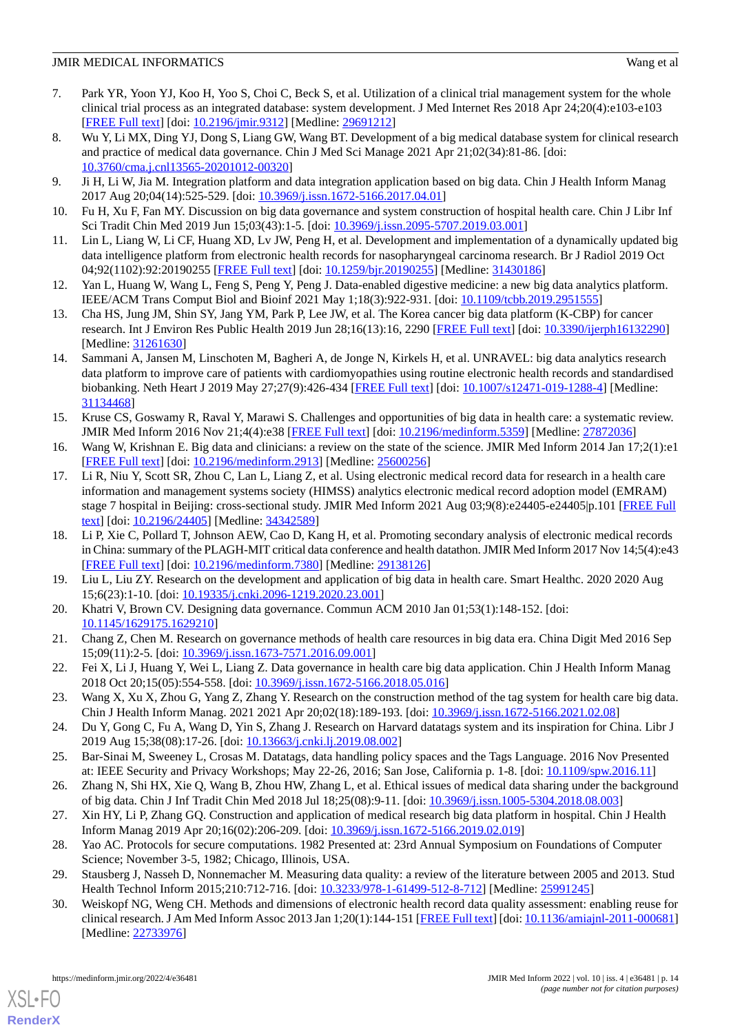- <span id="page-13-0"></span>7. Park YR, Yoon YJ, Koo H, Yoo S, Choi C, Beck S, et al. Utilization of a clinical trial management system for the whole clinical trial process as an integrated database: system development. J Med Internet Res 2018 Apr 24;20(4):e103-e103 [[FREE Full text](https://www.jmir.org/2018/4/e103/)] [doi: [10.2196/jmir.9312](http://dx.doi.org/10.2196/jmir.9312)] [Medline: [29691212](http://www.ncbi.nlm.nih.gov/entrez/query.fcgi?cmd=Retrieve&db=PubMed&list_uids=29691212&dopt=Abstract)]
- <span id="page-13-1"></span>8. Wu Y, Li MX, Ding YJ, Dong S, Liang GW, Wang BT. Development of a big medical database system for clinical research and practice of medical data governance. Chin J Med Sci Manage 2021 Apr 21;02(34):81-86. [doi: [10.3760/cma.j.cnl13565-20201012-00320](http://dx.doi.org/10.3760/cma.j.cnl13565-20201012-00320)]
- <span id="page-13-3"></span><span id="page-13-2"></span>9. Ji H, Li W, Jia M. Integration platform and data integration application based on big data. Chin J Health Inform Manag 2017 Aug 20;04(14):525-529. [doi: [10.3969/j.issn.1672-5166.2017.04.01](http://dx.doi.org/10.3969/j.issn.1672-5166.2017.04.01)]
- <span id="page-13-4"></span>10. Fu H, Xu F, Fan MY. Discussion on big data governance and system construction of hospital health care. Chin J Libr Inf Sci Tradit Chin Med 2019 Jun 15;03(43):1-5. [doi: [10.3969/j.issn.2095-5707.2019.03.001](http://dx.doi.org/10.3969/j.issn.2095-5707.2019.03.001)]
- <span id="page-13-5"></span>11. Lin L, Liang W, Li CF, Huang XD, Lv JW, Peng H, et al. Development and implementation of a dynamically updated big data intelligence platform from electronic health records for nasopharyngeal carcinoma research. Br J Radiol 2019 Oct 04;92(1102):92:20190255 [\[FREE Full text\]](http://europepmc.org/abstract/MED/31430186) [doi: [10.1259/bjr.20190255](http://dx.doi.org/10.1259/bjr.20190255)] [Medline: [31430186](http://www.ncbi.nlm.nih.gov/entrez/query.fcgi?cmd=Retrieve&db=PubMed&list_uids=31430186&dopt=Abstract)]
- <span id="page-13-6"></span>12. Yan L, Huang W, Wang L, Feng S, Peng Y, Peng J. Data-enabled digestive medicine: a new big data analytics platform. IEEE/ACM Trans Comput Biol and Bioinf 2021 May 1;18(3):922-931. [doi: [10.1109/tcbb.2019.2951555\]](http://dx.doi.org/10.1109/tcbb.2019.2951555)
- <span id="page-13-7"></span>13. Cha HS, Jung JM, Shin SY, Jang YM, Park P, Lee JW, et al. The Korea cancer big data platform (K-CBP) for cancer research. Int J Environ Res Public Health 2019 Jun 28;16(13):16, 2290 [[FREE Full text](https://www.mdpi.com/resolver?pii=ijerph16132290)] [doi: [10.3390/ijerph16132290](http://dx.doi.org/10.3390/ijerph16132290)] [Medline: [31261630](http://www.ncbi.nlm.nih.gov/entrez/query.fcgi?cmd=Retrieve&db=PubMed&list_uids=31261630&dopt=Abstract)]
- <span id="page-13-8"></span>14. Sammani A, Jansen M, Linschoten M, Bagheri A, de Jonge N, Kirkels H, et al. UNRAVEL: big data analytics research data platform to improve care of patients with cardiomyopathies using routine electronic health records and standardised biobanking. Neth Heart J 2019 May 27;27(9):426-434 [\[FREE Full text\]](http://europepmc.org/abstract/MED/31134468) [doi: [10.1007/s12471-019-1288-4](http://dx.doi.org/10.1007/s12471-019-1288-4)] [Medline: [31134468](http://www.ncbi.nlm.nih.gov/entrez/query.fcgi?cmd=Retrieve&db=PubMed&list_uids=31134468&dopt=Abstract)]
- <span id="page-13-11"></span><span id="page-13-10"></span>15. Kruse CS, Goswamy R, Raval Y, Marawi S. Challenges and opportunities of big data in health care: a systematic review. JMIR Med Inform 2016 Nov 21;4(4):e38 [[FREE Full text\]](https://medinform.jmir.org/2016/4/e38/) [doi: [10.2196/medinform.5359](http://dx.doi.org/10.2196/medinform.5359)] [Medline: [27872036](http://www.ncbi.nlm.nih.gov/entrez/query.fcgi?cmd=Retrieve&db=PubMed&list_uids=27872036&dopt=Abstract)]
- 16. Wang W, Krishnan E. Big data and clinicians: a review on the state of the science. JMIR Med Inform 2014 Jan 17;2(1):e1 [[FREE Full text](https://medinform.jmir.org/2014/1/e1/)] [doi: [10.2196/medinform.2913\]](http://dx.doi.org/10.2196/medinform.2913) [Medline: [25600256\]](http://www.ncbi.nlm.nih.gov/entrez/query.fcgi?cmd=Retrieve&db=PubMed&list_uids=25600256&dopt=Abstract)
- <span id="page-13-9"></span>17. Li R, Niu Y, Scott SR, Zhou C, Lan L, Liang Z, et al. Using electronic medical record data for research in a health care information and management systems society (HIMSS) analytics electronic medical record adoption model (EMRAM) stage 7 hospital in Beijing: cross-sectional study. JMIR Med Inform 2021 Aug 03;9(8):e24405-e24405|p.101 [[FREE Full](https://medinform.jmir.org/2021/8/e24405/) [text](https://medinform.jmir.org/2021/8/e24405/)] [doi: [10.2196/24405\]](http://dx.doi.org/10.2196/24405) [Medline: [34342589\]](http://www.ncbi.nlm.nih.gov/entrez/query.fcgi?cmd=Retrieve&db=PubMed&list_uids=34342589&dopt=Abstract)
- <span id="page-13-13"></span><span id="page-13-12"></span>18. Li P, Xie C, Pollard T, Johnson AEW, Cao D, Kang H, et al. Promoting secondary analysis of electronic medical records in China: summary of the PLAGH-MIT critical data conference and health datathon. JMIR Med Inform 2017 Nov 14;5(4):e43 [[FREE Full text](https://medinform.jmir.org/2017/4/e43/)] [doi: [10.2196/medinform.7380\]](http://dx.doi.org/10.2196/medinform.7380) [Medline: [29138126\]](http://www.ncbi.nlm.nih.gov/entrez/query.fcgi?cmd=Retrieve&db=PubMed&list_uids=29138126&dopt=Abstract)
- <span id="page-13-14"></span>19. Liu L, Liu ZY. Research on the development and application of big data in health care. Smart Healthc. 2020 2020 Aug 15;6(23):1-10. [doi: [10.19335/j.cnki.2096-1219.2020.23.001\]](http://dx.doi.org/10.19335/j.cnki.2096-1219.2020.23.001)
- <span id="page-13-15"></span>20. Khatri V, Brown CV. Designing data governance. Commun ACM 2010 Jan 01;53(1):148-152. [doi: [10.1145/1629175.1629210](http://dx.doi.org/10.1145/1629175.1629210)]
- <span id="page-13-16"></span>21. Chang Z, Chen M. Research on governance methods of health care resources in big data era. China Digit Med 2016 Sep 15;09(11):2-5. [doi: [10.3969/j.issn.1673-7571.2016.09.001\]](http://dx.doi.org/10.3969/j.issn.1673-7571.2016.09.001)
- <span id="page-13-18"></span><span id="page-13-17"></span>22. Fei X, Li J, Huang Y, Wei L, Liang Z. Data governance in health care big data application. Chin J Health Inform Manag 2018 Oct 20;15(05):554-558. [doi: [10.3969/j.issn.1672-5166.2018.05.016](http://dx.doi.org/10.3969/j.issn.1672-5166.2018.05.016)]
- <span id="page-13-19"></span>23. Wang X, Xu X, Zhou G, Yang Z, Zhang Y. Research on the construction method of the tag system for health care big data. Chin J Health Inform Manag. 2021 2021 Apr 20;02(18):189-193. [doi: [10.3969/j.issn.1672-5166.2021.02.08\]](http://dx.doi.org/10.3969/j.issn.1672-5166.2021.02.08)
- <span id="page-13-20"></span>24. Du Y, Gong C, Fu A, Wang D, Yin S, Zhang J. Research on Harvard datatags system and its inspiration for China. Libr J 2019 Aug 15;38(08):17-26. [doi: [10.13663/j.cnki.lj.2019.08.002](http://dx.doi.org/10.13663/j.cnki.lj.2019.08.002)]
- <span id="page-13-21"></span>25. Bar-Sinai M, Sweeney L, Crosas M. Datatags, data handling policy spaces and the Tags Language. 2016 Nov Presented at: IEEE Security and Privacy Workshops; May 22-26, 2016; San Jose, California p. 1-8. [doi: [10.1109/spw.2016.11](http://dx.doi.org/10.1109/spw.2016.11)]
- <span id="page-13-22"></span>26. Zhang N, Shi HX, Xie Q, Wang B, Zhou HW, Zhang L, et al. Ethical issues of medical data sharing under the background of big data. Chin J Inf Tradit Chin Med 2018 Jul 18;25(08):9-11. [doi: [10.3969/j.issn.1005-5304.2018.08.003](http://dx.doi.org/10.3969/j.issn.1005-5304.2018.08.003)]
- 27. Xin HY, Li P, Zhang GQ. Construction and application of medical research big data platform in hospital. Chin J Health Inform Manag 2019 Apr 20;16(02):206-209. [doi: [10.3969/j.issn.1672-5166.2019.02.019](http://dx.doi.org/10.3969/j.issn.1672-5166.2019.02.019)]
- 28. Yao AC. Protocols for secure computations. 1982 Presented at: 23rd Annual Symposium on Foundations of Computer Science; November 3-5, 1982; Chicago, Illinois, USA.
- 29. Stausberg J, Nasseh D, Nonnemacher M. Measuring data quality: a review of the literature between 2005 and 2013. Stud Health Technol Inform 2015;210:712-716. [doi: [10.3233/978-1-61499-512-8-712\]](http://dx.doi.org/10.3233/978-1-61499-512-8-712) [Medline: [25991245](http://www.ncbi.nlm.nih.gov/entrez/query.fcgi?cmd=Retrieve&db=PubMed&list_uids=25991245&dopt=Abstract)]
- 30. Weiskopf NG, Weng CH. Methods and dimensions of electronic health record data quality assessment: enabling reuse for clinical research. J Am Med Inform Assoc 2013 Jan 1;20(1):144-151 [\[FREE Full text\]](http://jamia.oxfordjournals.org/cgi/pmidlookup?view=long&pmid=22733976) [doi: [10.1136/amiajnl-2011-000681](http://dx.doi.org/10.1136/amiajnl-2011-000681)] [Medline: [22733976](http://www.ncbi.nlm.nih.gov/entrez/query.fcgi?cmd=Retrieve&db=PubMed&list_uids=22733976&dopt=Abstract)]